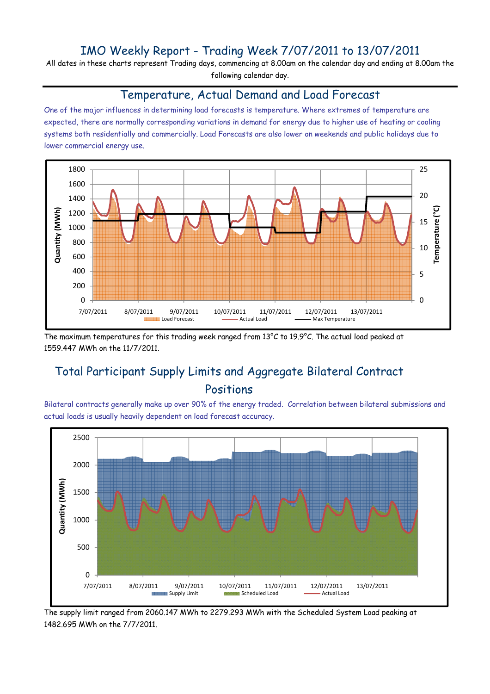## IMO Weekly Report - Trading Week 7/07/2011 to 13/07/2011

All dates in these charts represent Trading days, commencing at 8.00am on the calendar day and ending at 8.00am the following calendar day.

#### Temperature, Actual Demand and Load Forecast

One of the major influences in determining load forecasts is temperature. Where extremes of temperature are expected, there are normally corresponding variations in demand for energy due to higher use of heating or cooling systems both residentially and commercially. Load Forecasts are also lower on weekends and public holidays due to lower commercial energy use.



The maximum temperatures for this trading week ranged from 13°C to 19.9°C. The actual load peaked at 1559.447 MWh on the 11/7/2011.

# Total Participant Supply Limits and Aggregate Bilateral Contract Positions

Bilateral contracts generally make up over 90% of the energy traded. Correlation between bilateral submissions and actual loads is usually heavily dependent on load forecast accuracy.



The supply limit ranged from 2060.147 MWh to 2279.293 MWh with the Scheduled System Load peaking at 1482.695 MWh on the 7/7/2011.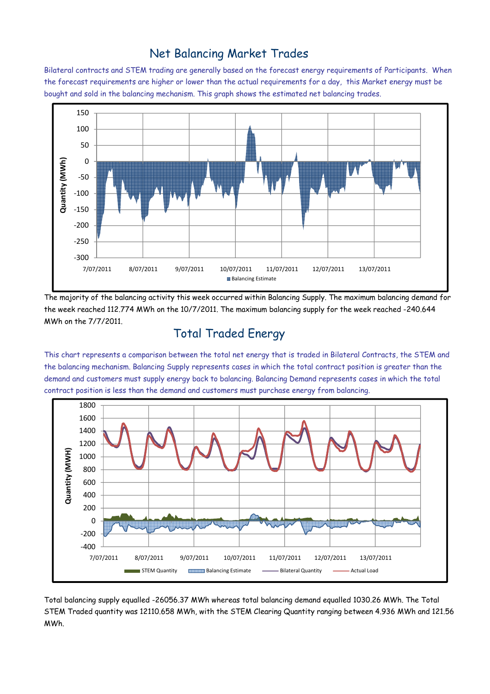### Net Balancing Market Trades

Bilateral contracts and STEM trading are generally based on the forecast energy requirements of Participants. When the forecast requirements are higher or lower than the actual requirements for a day, this Market energy must be bought and sold in the balancing mechanism. This graph shows the estimated net balancing trades.



The majority of the balancing activity this week occurred within Balancing Supply. The maximum balancing demand for the week reached 112.774 MWh on the 10/7/2011. The maximum balancing supply for the week reached -240.644 MWh on the 7/7/2011.

# Total Traded Energy

This chart represents a comparison between the total net energy that is traded in Bilateral Contracts, the STEM and the balancing mechanism. Balancing Supply represents cases in which the total contract position is greater than the demand and customers must supply energy back to balancing. Balancing Demand represents cases in which the total contract position is less than the demand and customers must purchase energy from balancing.



Total balancing supply equalled -26056.37 MWh whereas total balancing demand equalled 1030.26 MWh. The Total STEM Traded quantity was 12110.658 MWh, with the STEM Clearing Quantity ranging between 4.936 MWh and 121.56 MWh.